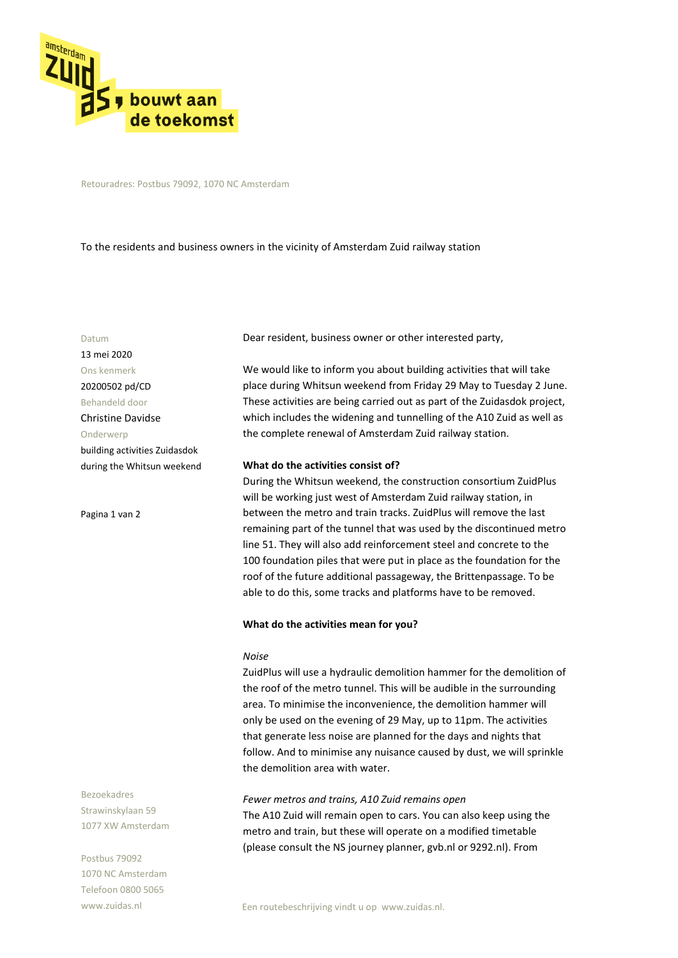

Retouradres: Postbus 79092, 1070 NC Amsterdam

To the residents and business owners in the vicinity of Amsterdam Zuid railway station

#### Datum

13 mei 2020 Ons kenmerk 20200502 pd/CD Behandeld door Christine Davidse Onderwerp building activities Zuidasdok during the Whitsun weekend

Pagina 1 van 2

Bezoekadres Strawinskylaan 59 1077 XW Amsterdam

Postbus 79092 1070 NC Amsterdam Telefoon 0800 5065 www.zuidas.nl

Dear resident, business owner or other interested party,

We would like to inform you about building activities that will take place during Whitsun weekend from Friday 29 May to Tuesday 2 June. These activities are being carried out as part of the Zuidasdok project, which includes the widening and tunnelling of the A10 Zuid as well as the complete renewal of Amsterdam Zuid railway station.

### **What do the activities consist of?**

During the Whitsun weekend, the construction consortium ZuidPlus will be working just west of Amsterdam Zuid railway station, in between the metro and train tracks. ZuidPlus will remove the last remaining part of the tunnel that was used by the discontinued metro line 51. They will also add reinforcement steel and concrete to the 100 foundation piles that were put in place as the foundation for the roof of the future additional passageway, the Brittenpassage. To be able to do this, some tracks and platforms have to be removed.

#### **What do the activities mean for you?**

#### *Noise*

ZuidPlus will use a hydraulic demolition hammer for the demolition of the roof of the metro tunnel. This will be audible in the surrounding area. To minimise the inconvenience, the demolition hammer will only be used on the evening of 29 May, up to 11pm. The activities that generate less noise are planned for the days and nights that follow. And to minimise any nuisance caused by dust, we will sprinkle the demolition area with water.

#### *Fewer metros and trains, A10 Zuid remains open*

The A10 Zuid will remain open to cars. You can also keep using the metro and train, but these will operate on a modified timetable (please consult the NS journey planner, gvb.nl or 9292.nl). From